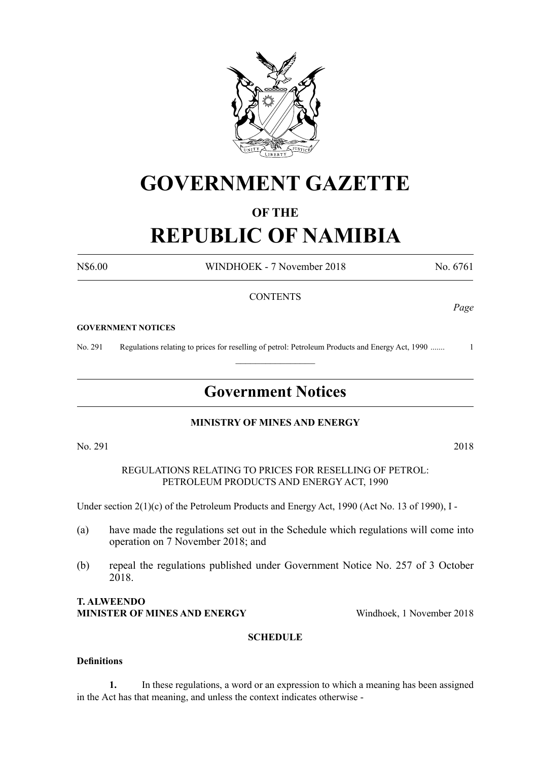

# **GOVERNMENT GAZETTE**

### **OF THE**

# **REPUBLIC OF NAMIBIA**

N\$6.00 WINDHOEK - 7 November 2018 No. 6761

#### **CONTENTS**

#### **GOVERNMENT NOTICES**

No. 291 Regulations relating to prices for reselling of petrol: Petroleum Products and Energy Act, 1990 ....... 1

## **Government Notices**

 $\frac{1}{2}$ 

#### **MINISTRY OF MINES AND ENERGY**

No. 291 2018

REGULATIONS RELATING TO PRICES FOR RESELLING OF PETROL: PETROLEUM PRODUCTS AND ENERGY ACT, 1990

Under section 2(1)(c) of the Petroleum Products and Energy Act, 1990 (Act No. 13 of 1990), I -

- (a) have made the regulations set out in the Schedule which regulations will come into operation on 7 November 2018; and
- (b) repeal the regulations published under Government Notice No. 257 of 3 October 2018.

#### **T. ALWEENDO MINISTER OF MINES AND ENERGY** Windhoek, 1 November 2018

#### **SCHEDULE**

#### **Definitions**

**1.** In these regulations, a word or an expression to which a meaning has been assigned in the Act has that meaning, and unless the context indicates otherwise -

*Page*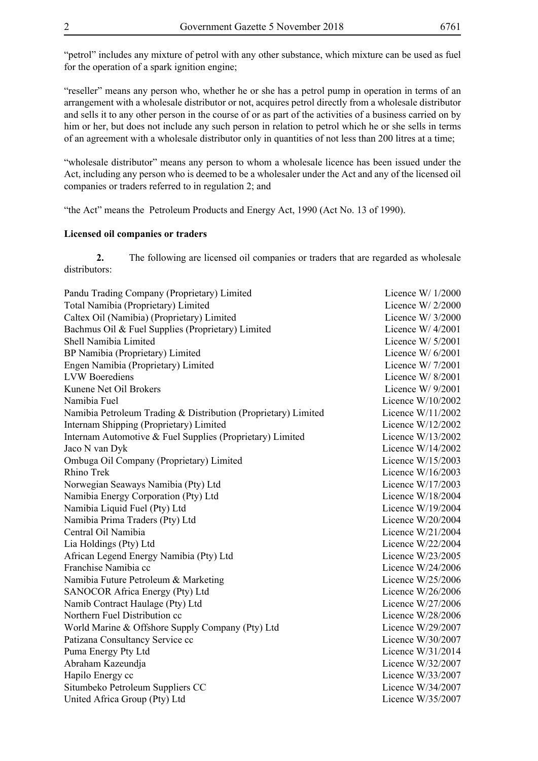"petrol" includes any mixture of petrol with any other substance, which mixture can be used as fuel for the operation of a spark ignition engine;

"reseller" means any person who, whether he or she has a petrol pump in operation in terms of an arrangement with a wholesale distributor or not, acquires petrol directly from a wholesale distributor and sells it to any other person in the course of or as part of the activities of a business carried on by him or her, but does not include any such person in relation to petrol which he or she sells in terms of an agreement with a wholesale distributor only in quantities of not less than 200 litres at a time;

"wholesale distributor" means any person to whom a wholesale licence has been issued under the Act, including any person who is deemed to be a wholesaler under the Act and any of the licensed oil companies or traders referred to in regulation 2; and

"the Act" means the Petroleum Products and Energy Act, 1990 (Act No. 13 of 1990).

#### **Licensed oil companies or traders**

**2.** The following are licensed oil companies or traders that are regarded as wholesale distributors:

| Pandu Trading Company (Proprietary) Limited                    | Licence $W/1/2000$  |
|----------------------------------------------------------------|---------------------|
| Total Namibia (Proprietary) Limited                            | Licence $W/2/2000$  |
| Caltex Oil (Namibia) (Proprietary) Limited                     | Licence W/ 3/2000   |
| Bachmus Oil & Fuel Supplies (Proprietary) Limited              | Licence $W/4/2001$  |
| Shell Namibia Limited                                          | Licence $W/5/2001$  |
| BP Namibia (Proprietary) Limited                               | Licence W/6/2001    |
| Engen Namibia (Proprietary) Limited                            | Licence W/ $7/2001$ |
| <b>LVW</b> Boerediens                                          | Licence $W/8/2001$  |
| Kunene Net Oil Brokers                                         | Licence $W/9/2001$  |
| Namibia Fuel                                                   | Licence $W/10/2002$ |
| Namibia Petroleum Trading & Distribution (Proprietary) Limited | Licence W/11/2002   |
| Internam Shipping (Proprietary) Limited                        | Licence W/12/2002   |
| Internam Automotive & Fuel Supplies (Proprietary) Limited      | Licence W/13/2002   |
| Jaco N van Dyk                                                 | Licence W/14/2002   |
| Ombuga Oil Company (Proprietary) Limited                       | Licence $W/15/2003$ |
| Rhino Trek                                                     | Licence W/16/2003   |
| Norwegian Seaways Namibia (Pty) Ltd                            | Licence W/17/2003   |
| Namibia Energy Corporation (Pty) Ltd                           | Licence W/18/2004   |
| Namibia Liquid Fuel (Pty) Ltd                                  | Licence W/19/2004   |
| Namibia Prima Traders (Pty) Ltd                                | Licence $W/20/2004$ |
| Central Oil Namibia                                            | Licence $W/21/2004$ |
| Lia Holdings (Pty) Ltd                                         | Licence W/22/2004   |
| African Legend Energy Namibia (Pty) Ltd                        | Licence W/23/2005   |
| Franchise Namibia cc                                           | Licence W/24/2006   |
| Namibia Future Petroleum & Marketing                           | Licence W/25/2006   |
| SANOCOR Africa Energy (Pty) Ltd                                | Licence W/26/2006   |
| Namib Contract Haulage (Pty) Ltd                               | Licence W/27/2006   |
| Northern Fuel Distribution cc                                  | Licence W/28/2006   |
| World Marine & Offshore Supply Company (Pty) Ltd               | Licence W/29/2007   |
| Patizana Consultancy Service cc                                | Licence W/30/2007   |
| Puma Energy Pty Ltd                                            | Licence W/31/2014   |
| Abraham Kazeundja                                              | Licence W/32/2007   |
| Hapilo Energy cc                                               | Licence W/33/2007   |
| Situmbeko Petroleum Suppliers CC                               | Licence W/34/2007   |
| United Africa Group (Pty) Ltd                                  | Licence W/35/2007   |
|                                                                |                     |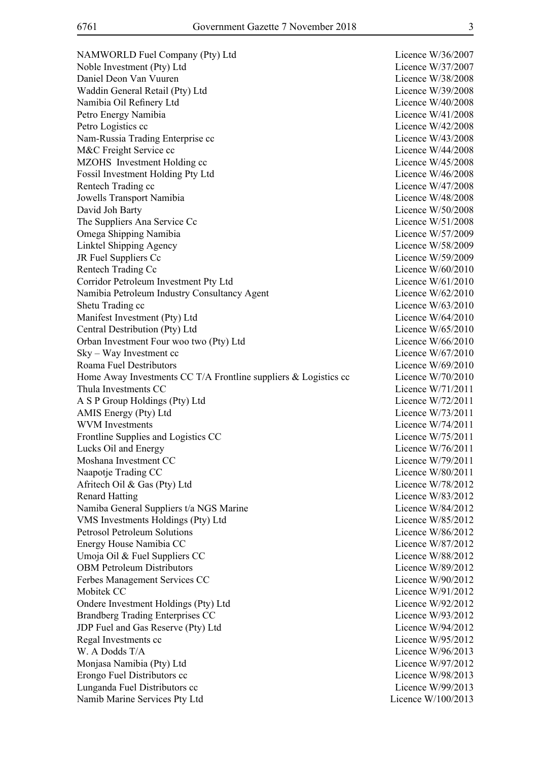NAMWORLD Fuel Company (Pty) Ltd Licence W/36/2007 Noble Investment (Pty) Ltd Licence W/37/2007 Daniel Deon Van Vuuren Licence W/38/2008 Waddin General Retail (Pty) Ltd Licence W/39/2008 Namibia Oil Refinery Ltd Licence W/40/2008 Petro Energy Namibia **Dividends** Contract Contract Contract Contract Contract Contract Contract Contract Contract Contract Contract Contract Contract Contract Contract Contract Contract Contract Contract Contract Contract Petro Logistics cc<br>
Licence W/42/2008 Nam-Russia Trading Enterprise cc Licence W/43/2008 M&C Freight Service cc Licence W/44/2008 MZOHS Investment Holding cc Licence W/45/2008 Fossil Investment Holding Pty Ltd Licence W/46/2008 Rentech Trading cc 
<br>
Rentech Trading cc

Licence W/47/2008 Jowells Transport Namibia Licence W/48/2008 David Joh Barty Licence W/50/2008 The Suppliers Ana Service Cc Licence W/51/2008 Omega Shipping Namibia Licence W/57/2009 Linktel Shipping Agency Licence W/58/2009 JR Fuel Suppliers Cc Licence W/59/2009 Rentech Trading Cc Licence W/60/2010 Corridor Petroleum Investment Pty Ltd Licence W/61/2010 Namibia Petroleum Industry Consultancy Agent Licence W/62/2010 Shetu Trading cc Licence W/63/2010 Manifest Investment (Pty) Ltd Licence W/64/2010 Central Destribution (Pty) Ltd Licence W/65/2010 Orban Investment Four woo two (Pty) Ltd Licence W/66/2010 Sky – Way Investment cc Licence W/67/2010 Roama Fuel Destributors and the state of the state of the Licence W/69/2010 Home Away Investments CC T/A Frontline suppliers  $&$  Logistics cc Licence W/70/2010 Thula Investments CC and the CO and the CO contract CO contract CO contract CO contract CO contract CO contract CO contract CO contract CO contract CO contract CO contract CO contract CO contract CO contract CO contract CO A S P Group Holdings (Pty) Ltd Licence W/72/2011 AMIS Energy (Pty) Ltd Licence W/73/2011 WVM Investments Licence W/74/2011 Frontline Supplies and Logistics CC Licence W/75/2011 Lucks Oil and Energy Licence W/76/2011 Moshana Investment CC and the CO and the Countries of the Countries of the Countries of the Licence W/79/2011 Naapotje Trading CC Licence W/80/2011 Afritech Oil & Gas (Pty) Ltd Licence W/78/2012 Renard Hatting Licence W/83/2012 Namiba General Suppliers t/a NGS Marine Licence W/84/2012 VMS Investments Holdings (Pty) Ltd Licence W/85/2012 Petrosol Petroleum Solutions Licence W/86/2012 Energy House Namibia CC Licence W/87/2012 Umoja Oil & Fuel Suppliers CC Licence W/88/2012 OBM Petroleum Distributors Licence W/89/2012 Ferbes Management Services CC and the Contract Contract Contract Contract Contract Contract Contract Contract Contract Contract Contract Contract Contract Contract Contract Contract Contract Contract Contract Contract Cont Mobitek CC Licence W/91/2012 Ondere Investment Holdings (Pty) Ltd Licence W/92/2012 Brandberg Trading Enterprises CC and the contract to the Licence W/93/2012 JDP Fuel and Gas Reserve (Pty) Ltd Licence W/94/2012 Regal Investments cc Licence W/95/2012 W. A Dodds T/A Licence W/96/2013 Monjasa Namibia (Pty) Ltd Licence W/97/2012 Erongo Fuel Distributors cc <br>
Licence W/98/2013 Lunganda Fuel Distributors cc intervals and the Licence W/99/2013 Namib Marine Services Pty Ltd Licence W/100/2013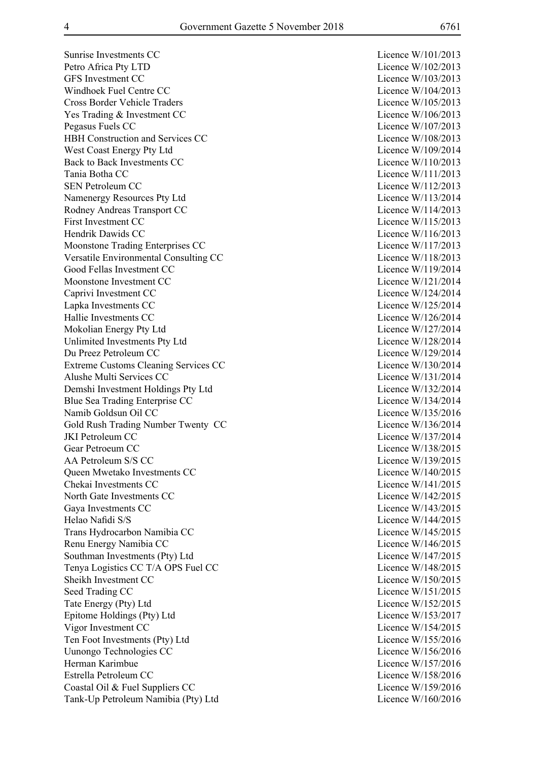Sunrise Investments CC Licence W/101/2013 Petro Africa Pty LTD Licence W/102/2013 GFS Investment CC Licence W/103/2013 Windhoek Fuel Centre CC and the Company of the Licence W/104/2013 Cross Border Vehicle Traders Licence W/105/2013 Yes Trading & Investment CC Licence W/106/2013 Pegasus Fuels CC Licence W/107/2013 HBH Construction and Services CC Licence W/108/2013 West Coast Energy Pty Ltd Licence W/109/2014 Back to Back Investments CC Licence W/110/2013 Tania Botha CC Licence W/111/2013 SEN Petroleum CC Licence W/112/2013 Namenergy Resources Pty Ltd Licence W/113/2014 Rodney Andreas Transport CC Licence W/114/2013 First Investment CC Licence W/115/2013 Hendrik Dawids CC and the Company of the Licence W/116/2013 Moonstone Trading Enterprises CC Licence W/117/2013 Versatile Environmental Consulting CC Licence W/118/2013 Good Fellas Investment CC Licence W/119/2014 Moonstone Investment CC and CC Licence W/121/2014 Caprivi Investment CC Licence W/124/2014 Lapka Investments CC Licence W/125/2014 Hallie Investments CC Licence W/126/2014 Mokolian Energy Pty Ltd Licence W/127/2014 Unlimited Investments Pty Ltd Licence W/128/2014 Du Preez Petroleum CC Licence W/129/2014 Extreme Customs Cleaning Services CC Licence W/130/2014 Alushe Multi Services CC and the Contract of the Licence W/131/2014 Demshi Investment Holdings Pty Ltd Licence W/132/2014 Blue Sea Trading Enterprise CC and the season of the Licence W/134/2014 Namib Goldsun Oil CC Licence W/135/2016 Gold Rush Trading Number Twenty CC Licence W/136/2014 JKI Petroleum CC Licence W/137/2014 Gear Petroeum CC Licence W/138/2015 AA Petroleum S/S CC Licence W/139/2015 Queen Mwetako Investments CC Licence W/140/2015 Chekai Investments CC and the Company of the Licence W/141/2015 North Gate Investments CC Licence W/142/2015 Gaya Investments CC Licence W/143/2015 Helao Nafidi S/S Licence W/144/2015 Trans Hydrocarbon Namibia CC Licence W/145/2015 Renu Energy Namibia CC Licence W/146/2015 Southman Investments (Pty) Ltd Licence W/147/2015 Tenya Logistics CC T/A OPS Fuel CC Licence W/148/2015 Sheikh Investment CC and the CC Licence W/150/2015 Seed Trading CC Licence W/151/2015 Tate Energy (Pty) Ltd Licence W/152/2015 Epitome Holdings (Pty) Ltd Licence W/153/2017 Vigor Investment CC Licence W/154/2015 Ten Foot Investments (Pty) Ltd Licence W/155/2016 Uunongo Technologies CC Licence W/156/2016 Herman Karimbue Licence W/157/2016 Estrella Petroleum CC and the Company of the Licence W/158/2016 Coastal Oil & Fuel Suppliers CC Licence W/159/2016 Tank-Up Petroleum Namibia (Pty) Ltd Licence W/160/2016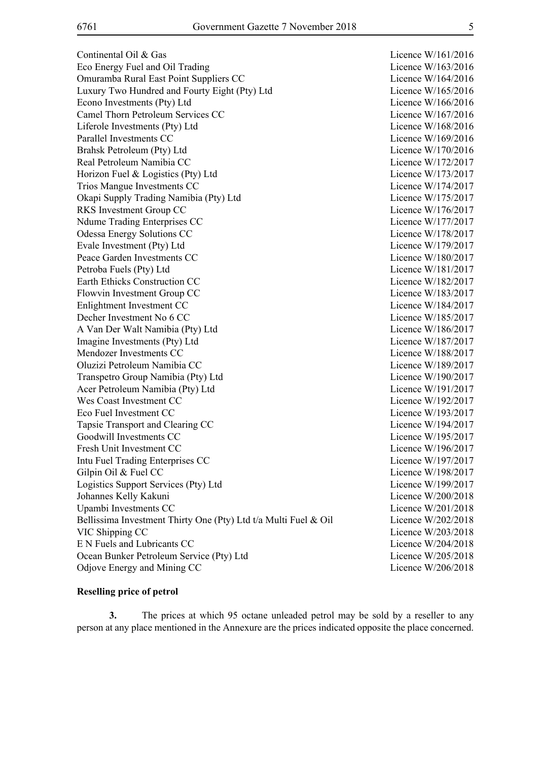Continental Oil & Gas Licence W/161/2016 Eco Energy Fuel and Oil Trading Licence W/163/2016 Omuramba Rural East Point Suppliers CC Licence W/164/2016 Luxury Two Hundred and Fourty Eight (Pty) Ltd Licence W/165/2016 Econo Investments (Pty) Ltd Licence W/166/2016 Camel Thorn Petroleum Services CC Licence W/167/2016 Liferole Investments (Pty) Ltd Licence W/168/2016 Parallel Investments CC Licence W/169/2016 Brahsk Petroleum (Ptv) Ltd Licence W/170/2016 Real Petroleum Namibia CC and the contract of the contract of the Licence W/172/2017 Horizon Fuel & Logistics (Pty) Ltd Licence W/173/2017 Trios Mangue Investments CC Licence W/174/2017 Okapi Supply Trading Namibia (Pty) Ltd Licence W/175/2017 RKS Investment Group CC Licence W/176/2017 Ndume Trading Enterprises CC Licence W/177/2017 Odessa Energy Solutions CC and Contact Contact Contact Contact Contact Contact Contact Contact Contact Contact Contact Contact Contact Contact Contact Contact Contact Contact Contact Contact Contact Contact Contact Contact Evale Investment (Pty) Ltd Licence W/179/2017 Peace Garden Investments CC Licence W/180/2017 Petroba Fuels (Pty) Ltd Licence W/181/2017 Earth Ethicks Construction CC and the Licence W/182/2017 Flowvin Investment Group CC and the Licence W/183/2017 Enlightment Investment CC Licence W/184/2017 Decher Investment No 6 CC Licence W/185/2017 A Van Der Walt Namibia (Pty) Ltd Licence W/186/2017 Imagine Investments (Pty) Ltd Licence W/187/2017 Mendozer Investments CC and the Company of the Licence W/188/2017 Oluzizi Petroleum Namibia CC Licence W/189/2017 Transpetro Group Namibia (Pty) Ltd Licence W/190/2017 Acer Petroleum Namibia (Pty) Ltd Licence W/191/2017 Wes Coast Investment CC Licence W/192/2017 Eco Fuel Investment CC Licence W/193/2017 Tapsie Transport and Clearing CC Licence W/194/2017 Goodwill Investments CC and the CO Licence W/195/2017 Fresh Unit Investment CC Licence W/196/2017 Intu Fuel Trading Enterprises CC and the Contract Contract Contract Contract Contract Contract Contract Contract Contract Contract Contract Contract Contract Contract Contract Contract Contract Contract Contract Contract C Gilpin Oil & Fuel CC Licence W/198/2017 Logistics Support Services (Pty) Ltd Licence W/199/2017 Johannes Kelly Kakuni Licence W/200/2018 Upambi Investments CC Licence W/201/2018 Bellissima Investment Thirty One (Pty) Ltd t/a Multi Fuel & Oil Licence W/202/2018 VIC Shipping CC Licence W/203/2018 E N Fuels and Lubricants CC Licence W/204/2018 Ocean Bunker Petroleum Service (Pty) Ltd Licence W/205/2018 Odjove Energy and Mining CC Licence W/206/2018

#### **Reselling price of petrol**

**3.** The prices at which 95 octane unleaded petrol may be sold by a reseller to any person at any place mentioned in the Annexure are the prices indicated opposite the place concerned.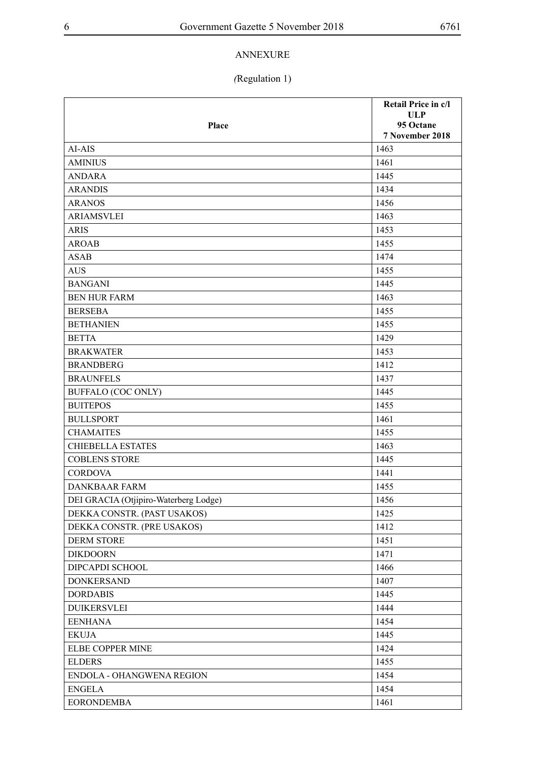### ANNEXURE

## *(*Regulation 1)

|                                       | Retail Price in c/l     |
|---------------------------------------|-------------------------|
| Place                                 | <b>ULP</b><br>95 Octane |
|                                       | 7 November 2018         |
| AI-AIS                                | 1463                    |
| <b>AMINIUS</b>                        | 1461                    |
| <b>ANDARA</b>                         | 1445                    |
| <b>ARANDIS</b>                        | 1434                    |
| <b>ARANOS</b>                         | 1456                    |
| <b>ARIAMSVLEI</b>                     | 1463                    |
| <b>ARIS</b>                           | 1453                    |
| <b>AROAB</b>                          | 1455                    |
| <b>ASAB</b>                           | 1474                    |
| <b>AUS</b>                            | 1455                    |
| <b>BANGANI</b>                        | 1445                    |
| <b>BEN HUR FARM</b>                   | 1463                    |
| <b>BERSEBA</b>                        | 1455                    |
| <b>BETHANIEN</b>                      | 1455                    |
| <b>BETTA</b>                          | 1429                    |
| <b>BRAKWATER</b>                      | 1453                    |
| <b>BRANDBERG</b>                      | 1412                    |
| <b>BRAUNFELS</b>                      | 1437                    |
| <b>BUFFALO (COC ONLY)</b>             | 1445                    |
| <b>BUITEPOS</b>                       | 1455                    |
| <b>BULLSPORT</b>                      | 1461                    |
| <b>CHAMAITES</b>                      | 1455                    |
| <b>CHIEBELLA ESTATES</b>              | 1463                    |
| <b>COBLENS STORE</b>                  | 1445                    |
| <b>CORDOVA</b>                        | 1441                    |
| <b>DANKBAAR FARM</b>                  | 1455                    |
| DEI GRACIA (Otjipiro-Waterberg Lodge) | 1456                    |
| DEKKA CONSTR. (PAST USAKOS)           | 1425                    |
| DEKKA CONSTR. (PRE USAKOS)            | 1412                    |
| <b>DERM STORE</b>                     | 1451                    |
| <b>DIKDOORN</b>                       | 1471                    |
| DIPCAPDI SCHOOL                       | 1466                    |
| <b>DONKERSAND</b>                     | 1407                    |
| <b>DORDABIS</b>                       | 1445                    |
| <b>DUIKERSVLEI</b>                    | 1444                    |
| <b>EENHANA</b>                        | 1454                    |
| <b>EKUJA</b>                          | 1445                    |
| ELBE COPPER MINE                      | 1424                    |
| <b>ELDERS</b>                         | 1455                    |
| ENDOLA - OHANGWENA REGION             | 1454                    |
| <b>ENGELA</b>                         | 1454                    |
| <b>EORONDEMBA</b>                     | 1461                    |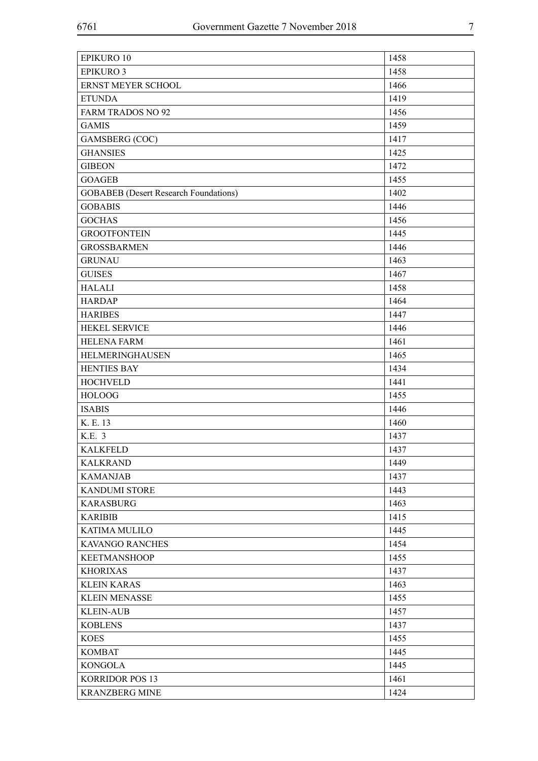| <b>EPIKURO 10</b>                            | 1458 |
|----------------------------------------------|------|
| <b>EPIKURO 3</b>                             | 1458 |
| ERNST MEYER SCHOOL                           | 1466 |
| <b>ETUNDA</b>                                | 1419 |
| <b>FARM TRADOS NO 92</b>                     | 1456 |
| <b>GAMIS</b>                                 | 1459 |
| <b>GAMSBERG (COC)</b>                        | 1417 |
| <b>GHANSIES</b>                              | 1425 |
| <b>GIBEON</b>                                | 1472 |
| <b>GOAGEB</b>                                | 1455 |
| <b>GOBABEB</b> (Desert Research Foundations) | 1402 |
| <b>GOBABIS</b>                               | 1446 |
| <b>GOCHAS</b>                                | 1456 |
| <b>GROOTFONTEIN</b>                          | 1445 |
| <b>GROSSBARMEN</b>                           | 1446 |
| <b>GRUNAU</b>                                | 1463 |
| <b>GUISES</b>                                | 1467 |
| <b>HALALI</b>                                | 1458 |
| <b>HARDAP</b>                                | 1464 |
| <b>HARIBES</b>                               | 1447 |
| <b>HEKEL SERVICE</b>                         | 1446 |
| <b>HELENA FARM</b>                           | 1461 |
| HELMERINGHAUSEN                              | 1465 |
| <b>HENTIES BAY</b>                           | 1434 |
| <b>HOCHVELD</b>                              | 1441 |
| <b>HOLOOG</b>                                | 1455 |
| <b>ISABIS</b>                                | 1446 |
| K. E. 13                                     | 1460 |
| K.E. 3                                       | 1437 |
| <b>KALKFELD</b>                              | 1437 |
| <b>KALKRAND</b>                              | 1449 |
| <b>KAMANJAB</b>                              | 1437 |
| <b>KANDUMI STORE</b>                         | 1443 |
| <b>KARASBURG</b>                             | 1463 |
| <b>KARIBIB</b>                               | 1415 |
| <b>KATIMA MULILO</b>                         | 1445 |
| <b>KAVANGO RANCHES</b>                       | 1454 |
| <b>KEETMANSHOOP</b>                          | 1455 |
| <b>KHORIXAS</b>                              | 1437 |
| <b>KLEIN KARAS</b>                           | 1463 |
| <b>KLEIN MENASSE</b>                         | 1455 |
| <b>KLEIN-AUB</b>                             | 1457 |
| <b>KOBLENS</b>                               | 1437 |
| <b>KOES</b>                                  | 1455 |
| <b>KOMBAT</b>                                | 1445 |
| <b>KONGOLA</b>                               | 1445 |
| <b>KORRIDOR POS 13</b>                       | 1461 |
| <b>KRANZBERG MINE</b>                        | 1424 |
|                                              |      |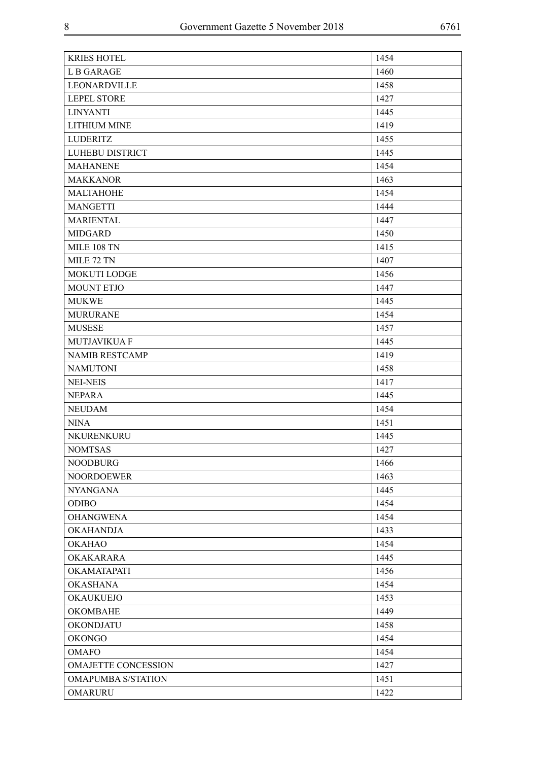| <b>KRIES HOTEL</b>         | 1454 |
|----------------------------|------|
| <b>LB GARAGE</b>           | 1460 |
| LEONARDVILLE               | 1458 |
| <b>LEPEL STORE</b>         | 1427 |
| <b>LINYANTI</b>            | 1445 |
| <b>LITHIUM MINE</b>        | 1419 |
| <b>LUDERITZ</b>            | 1455 |
| LUHEBU DISTRICT            | 1445 |
| <b>MAHANENE</b>            | 1454 |
| <b>MAKKANOR</b>            | 1463 |
| <b>MALTAHOHE</b>           | 1454 |
| <b>MANGETTI</b>            | 1444 |
| <b>MARIENTAL</b>           | 1447 |
| <b>MIDGARD</b>             | 1450 |
| <b>MILE 108 TN</b>         | 1415 |
| MILE 72 TN                 | 1407 |
| <b>MOKUTI LODGE</b>        | 1456 |
| <b>MOUNT ETJO</b>          | 1447 |
| <b>MUKWE</b>               | 1445 |
| <b>MURURANE</b>            | 1454 |
| <b>MUSESE</b>              | 1457 |
| MUTJAVIKUA F               | 1445 |
| <b>NAMIB RESTCAMP</b>      | 1419 |
| <b>NAMUTONI</b>            | 1458 |
| <b>NEI-NEIS</b>            | 1417 |
| <b>NEPARA</b>              | 1445 |
| <b>NEUDAM</b>              | 1454 |
| <b>NINA</b>                | 1451 |
| NKURENKURU                 | 1445 |
| <b>NOMTSAS</b>             | 1427 |
| <b>NOODBURG</b>            | 1466 |
| <b>NOORDOEWER</b>          | 1463 |
| <b>NYANGANA</b>            | 1445 |
| <b>ODIBO</b>               | 1454 |
| <b>OHANGWENA</b>           | 1454 |
| <b>OKAHANDJA</b>           | 1433 |
| <b>OKAHAO</b>              | 1454 |
| <b>OKAKARARA</b>           | 1445 |
| OKAMATAPATI                | 1456 |
| <b>OKASHANA</b>            | 1454 |
| <b>OKAUKUEJO</b>           | 1453 |
| <b>OKOMBAHE</b>            | 1449 |
| <b>OKONDJATU</b>           | 1458 |
| <b>OKONGO</b>              | 1454 |
| <b>OMAFO</b>               | 1454 |
| <b>OMAJETTE CONCESSION</b> | 1427 |
| <b>OMAPUMBA S/STATION</b>  | 1451 |
| <b>OMARURU</b>             | 1422 |
|                            |      |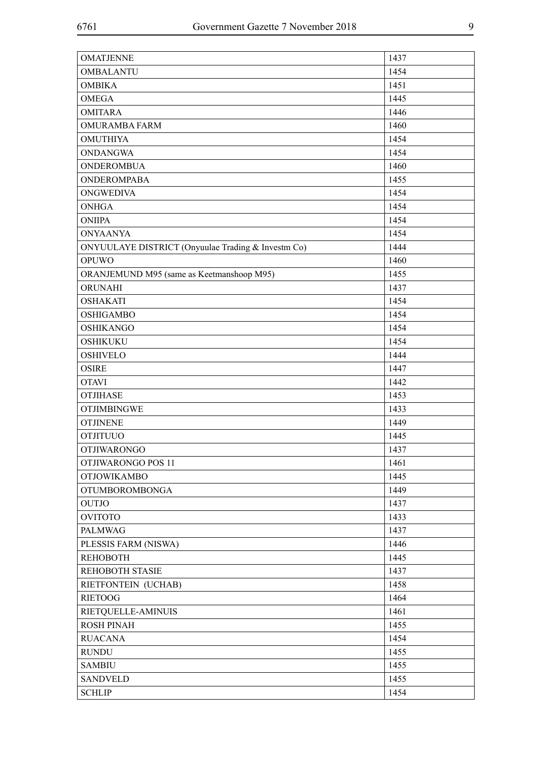| <b>OMATJENNE</b>                                   | 1437 |
|----------------------------------------------------|------|
| <b>OMBALANTU</b>                                   | 1454 |
| <b>OMBIKA</b>                                      | 1451 |
| <b>OMEGA</b>                                       | 1445 |
| <b>OMITARA</b>                                     | 1446 |
| <b>OMURAMBA FARM</b>                               | 1460 |
| <b>OMUTHIYA</b>                                    | 1454 |
| <b>ONDANGWA</b>                                    | 1454 |
| <b>ONDEROMBUA</b>                                  | 1460 |
| <b>ONDEROMPABA</b>                                 | 1455 |
| <b>ONGWEDIVA</b>                                   | 1454 |
| <b>ONHGA</b>                                       | 1454 |
| <b>ONIIPA</b>                                      | 1454 |
| <b>ONYAANYA</b>                                    | 1454 |
| ONYUULAYE DISTRICT (Onyuulae Trading & Investm Co) | 1444 |
| <b>OPUWO</b>                                       | 1460 |
| ORANJEMUND M95 (same as Keetmanshoop M95)          | 1455 |
| ORUNAHI                                            | 1437 |
| <b>OSHAKATI</b>                                    | 1454 |
| <b>OSHIGAMBO</b>                                   | 1454 |
| <b>OSHIKANGO</b>                                   | 1454 |
| <b>OSHIKUKU</b>                                    | 1454 |
| <b>OSHIVELO</b>                                    | 1444 |
| <b>OSIRE</b>                                       | 1447 |
| <b>OTAVI</b>                                       | 1442 |
| <b>OTJIHASE</b>                                    | 1453 |
| <b>OTJIMBINGWE</b>                                 | 1433 |
| <b>OTJINENE</b>                                    | 1449 |
| <b>OTJITUUO</b>                                    | 1445 |
| <b>OTJIWARONGO</b>                                 | 1437 |
| OTJIWARONGO POS 11                                 | 1461 |
| <b>OTJOWIKAMBO</b>                                 | 1445 |
| <b>OTUMBOROMBONGA</b>                              | 1449 |
| <b>OUTJO</b>                                       | 1437 |
| <b>OVITOTO</b>                                     | 1433 |
| PALMWAG                                            | 1437 |
| PLESSIS FARM (NISWA)                               | 1446 |
| <b>REHOBOTH</b>                                    | 1445 |
| REHOBOTH STASIE                                    | 1437 |
| RIETFONTEIN (UCHAB)                                | 1458 |
| <b>RIETOOG</b>                                     | 1464 |
| RIETQUELLE-AMINUIS                                 | 1461 |
| <b>ROSH PINAH</b>                                  | 1455 |
| <b>RUACANA</b>                                     | 1454 |
| <b>RUNDU</b>                                       | 1455 |
| <b>SAMBIU</b>                                      | 1455 |
| <b>SANDVELD</b>                                    | 1455 |
| <b>SCHLIP</b>                                      | 1454 |
|                                                    |      |